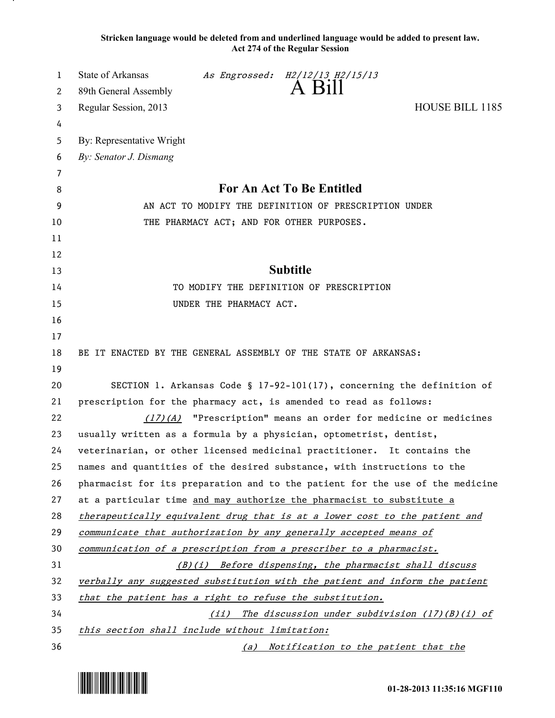**Stricken language would be deleted from and underlined language would be added to present law. Act 274 of the Regular Session**

| Regular Session, 2013<br>HOUSE BILL 1185<br>3<br>4<br>By: Representative Wright<br>5<br>By: Senator J. Dismang<br>6<br>7<br>For An Act To Be Entitled<br>8<br>AN ACT TO MODIFY THE DEFINITION OF PRESCRIPTION UNDER<br>9<br>THE PHARMACY ACT; AND FOR OTHER PURPOSES.<br>10<br>11<br>12<br><b>Subtitle</b><br>13<br>TO MODIFY THE DEFINITION OF PRESCRIPTION<br>14<br>15<br>UNDER THE PHARMACY ACT.<br>16<br>17<br>BE IT ENACTED BY THE GENERAL ASSEMBLY OF THE STATE OF ARKANSAS:<br>18<br>19<br>SECTION 1. Arkansas Code § $17-92-101(17)$ , concerning the definition of<br>20<br>21<br>prescription for the pharmacy act, is amended to read as follows:<br>22<br>"Prescription" means an order for medicine or medicines<br>(17)(A)<br>23<br>usually written as a formula by a physician, optometrist, dentist,<br>24<br>veterinarian, or other licensed medicinal practitioner. It contains the<br>25<br>names and quantities of the desired substance, with instructions to the<br>26<br>pharmacist for its preparation and to the patient for the use of the medicine<br>27<br>at a particular time and may authorize the pharmacist to substitute a<br>28<br>therapeutically equivalent drug that is at a lower cost to the patient and<br>29<br>communicate that authorization by any generally accepted means of<br>30<br>communication of a prescription from a prescriber to a pharmacist.<br>31<br>(B)(i) Before dispensing, the pharmacist shall discuss<br>32<br>verbally any suggested substitution with the patient and inform the patient | 1 | State of Arkansas     |  | As Engrossed: H2/12/13 H2/15/13<br>A Bill |  |  |
|--------------------------------------------------------------------------------------------------------------------------------------------------------------------------------------------------------------------------------------------------------------------------------------------------------------------------------------------------------------------------------------------------------------------------------------------------------------------------------------------------------------------------------------------------------------------------------------------------------------------------------------------------------------------------------------------------------------------------------------------------------------------------------------------------------------------------------------------------------------------------------------------------------------------------------------------------------------------------------------------------------------------------------------------------------------------------------------------------------------------------------------------------------------------------------------------------------------------------------------------------------------------------------------------------------------------------------------------------------------------------------------------------------------------------------------------------------------------------------------------------------------------------------------------------------------|---|-----------------------|--|-------------------------------------------|--|--|
|                                                                                                                                                                                                                                                                                                                                                                                                                                                                                                                                                                                                                                                                                                                                                                                                                                                                                                                                                                                                                                                                                                                                                                                                                                                                                                                                                                                                                                                                                                                                                              | 2 | 89th General Assembly |  |                                           |  |  |
|                                                                                                                                                                                                                                                                                                                                                                                                                                                                                                                                                                                                                                                                                                                                                                                                                                                                                                                                                                                                                                                                                                                                                                                                                                                                                                                                                                                                                                                                                                                                                              |   |                       |  |                                           |  |  |
|                                                                                                                                                                                                                                                                                                                                                                                                                                                                                                                                                                                                                                                                                                                                                                                                                                                                                                                                                                                                                                                                                                                                                                                                                                                                                                                                                                                                                                                                                                                                                              |   |                       |  |                                           |  |  |
|                                                                                                                                                                                                                                                                                                                                                                                                                                                                                                                                                                                                                                                                                                                                                                                                                                                                                                                                                                                                                                                                                                                                                                                                                                                                                                                                                                                                                                                                                                                                                              |   |                       |  |                                           |  |  |
|                                                                                                                                                                                                                                                                                                                                                                                                                                                                                                                                                                                                                                                                                                                                                                                                                                                                                                                                                                                                                                                                                                                                                                                                                                                                                                                                                                                                                                                                                                                                                              |   |                       |  |                                           |  |  |
|                                                                                                                                                                                                                                                                                                                                                                                                                                                                                                                                                                                                                                                                                                                                                                                                                                                                                                                                                                                                                                                                                                                                                                                                                                                                                                                                                                                                                                                                                                                                                              |   |                       |  |                                           |  |  |
|                                                                                                                                                                                                                                                                                                                                                                                                                                                                                                                                                                                                                                                                                                                                                                                                                                                                                                                                                                                                                                                                                                                                                                                                                                                                                                                                                                                                                                                                                                                                                              |   |                       |  |                                           |  |  |
|                                                                                                                                                                                                                                                                                                                                                                                                                                                                                                                                                                                                                                                                                                                                                                                                                                                                                                                                                                                                                                                                                                                                                                                                                                                                                                                                                                                                                                                                                                                                                              |   |                       |  |                                           |  |  |
|                                                                                                                                                                                                                                                                                                                                                                                                                                                                                                                                                                                                                                                                                                                                                                                                                                                                                                                                                                                                                                                                                                                                                                                                                                                                                                                                                                                                                                                                                                                                                              |   |                       |  |                                           |  |  |
|                                                                                                                                                                                                                                                                                                                                                                                                                                                                                                                                                                                                                                                                                                                                                                                                                                                                                                                                                                                                                                                                                                                                                                                                                                                                                                                                                                                                                                                                                                                                                              |   |                       |  |                                           |  |  |
|                                                                                                                                                                                                                                                                                                                                                                                                                                                                                                                                                                                                                                                                                                                                                                                                                                                                                                                                                                                                                                                                                                                                                                                                                                                                                                                                                                                                                                                                                                                                                              |   |                       |  |                                           |  |  |
|                                                                                                                                                                                                                                                                                                                                                                                                                                                                                                                                                                                                                                                                                                                                                                                                                                                                                                                                                                                                                                                                                                                                                                                                                                                                                                                                                                                                                                                                                                                                                              |   |                       |  |                                           |  |  |
|                                                                                                                                                                                                                                                                                                                                                                                                                                                                                                                                                                                                                                                                                                                                                                                                                                                                                                                                                                                                                                                                                                                                                                                                                                                                                                                                                                                                                                                                                                                                                              |   |                       |  |                                           |  |  |
|                                                                                                                                                                                                                                                                                                                                                                                                                                                                                                                                                                                                                                                                                                                                                                                                                                                                                                                                                                                                                                                                                                                                                                                                                                                                                                                                                                                                                                                                                                                                                              |   |                       |  |                                           |  |  |
|                                                                                                                                                                                                                                                                                                                                                                                                                                                                                                                                                                                                                                                                                                                                                                                                                                                                                                                                                                                                                                                                                                                                                                                                                                                                                                                                                                                                                                                                                                                                                              |   |                       |  |                                           |  |  |
|                                                                                                                                                                                                                                                                                                                                                                                                                                                                                                                                                                                                                                                                                                                                                                                                                                                                                                                                                                                                                                                                                                                                                                                                                                                                                                                                                                                                                                                                                                                                                              |   |                       |  |                                           |  |  |
|                                                                                                                                                                                                                                                                                                                                                                                                                                                                                                                                                                                                                                                                                                                                                                                                                                                                                                                                                                                                                                                                                                                                                                                                                                                                                                                                                                                                                                                                                                                                                              |   |                       |  |                                           |  |  |
|                                                                                                                                                                                                                                                                                                                                                                                                                                                                                                                                                                                                                                                                                                                                                                                                                                                                                                                                                                                                                                                                                                                                                                                                                                                                                                                                                                                                                                                                                                                                                              |   |                       |  |                                           |  |  |
|                                                                                                                                                                                                                                                                                                                                                                                                                                                                                                                                                                                                                                                                                                                                                                                                                                                                                                                                                                                                                                                                                                                                                                                                                                                                                                                                                                                                                                                                                                                                                              |   |                       |  |                                           |  |  |
|                                                                                                                                                                                                                                                                                                                                                                                                                                                                                                                                                                                                                                                                                                                                                                                                                                                                                                                                                                                                                                                                                                                                                                                                                                                                                                                                                                                                                                                                                                                                                              |   |                       |  |                                           |  |  |
|                                                                                                                                                                                                                                                                                                                                                                                                                                                                                                                                                                                                                                                                                                                                                                                                                                                                                                                                                                                                                                                                                                                                                                                                                                                                                                                                                                                                                                                                                                                                                              |   |                       |  |                                           |  |  |
|                                                                                                                                                                                                                                                                                                                                                                                                                                                                                                                                                                                                                                                                                                                                                                                                                                                                                                                                                                                                                                                                                                                                                                                                                                                                                                                                                                                                                                                                                                                                                              |   |                       |  |                                           |  |  |
|                                                                                                                                                                                                                                                                                                                                                                                                                                                                                                                                                                                                                                                                                                                                                                                                                                                                                                                                                                                                                                                                                                                                                                                                                                                                                                                                                                                                                                                                                                                                                              |   |                       |  |                                           |  |  |
|                                                                                                                                                                                                                                                                                                                                                                                                                                                                                                                                                                                                                                                                                                                                                                                                                                                                                                                                                                                                                                                                                                                                                                                                                                                                                                                                                                                                                                                                                                                                                              |   |                       |  |                                           |  |  |
|                                                                                                                                                                                                                                                                                                                                                                                                                                                                                                                                                                                                                                                                                                                                                                                                                                                                                                                                                                                                                                                                                                                                                                                                                                                                                                                                                                                                                                                                                                                                                              |   |                       |  |                                           |  |  |
|                                                                                                                                                                                                                                                                                                                                                                                                                                                                                                                                                                                                                                                                                                                                                                                                                                                                                                                                                                                                                                                                                                                                                                                                                                                                                                                                                                                                                                                                                                                                                              |   |                       |  |                                           |  |  |
|                                                                                                                                                                                                                                                                                                                                                                                                                                                                                                                                                                                                                                                                                                                                                                                                                                                                                                                                                                                                                                                                                                                                                                                                                                                                                                                                                                                                                                                                                                                                                              |   |                       |  |                                           |  |  |
|                                                                                                                                                                                                                                                                                                                                                                                                                                                                                                                                                                                                                                                                                                                                                                                                                                                                                                                                                                                                                                                                                                                                                                                                                                                                                                                                                                                                                                                                                                                                                              |   |                       |  |                                           |  |  |
|                                                                                                                                                                                                                                                                                                                                                                                                                                                                                                                                                                                                                                                                                                                                                                                                                                                                                                                                                                                                                                                                                                                                                                                                                                                                                                                                                                                                                                                                                                                                                              |   |                       |  |                                           |  |  |
|                                                                                                                                                                                                                                                                                                                                                                                                                                                                                                                                                                                                                                                                                                                                                                                                                                                                                                                                                                                                                                                                                                                                                                                                                                                                                                                                                                                                                                                                                                                                                              |   |                       |  |                                           |  |  |
| 33<br>that the patient has a right to refuse the substitution.                                                                                                                                                                                                                                                                                                                                                                                                                                                                                                                                                                                                                                                                                                                                                                                                                                                                                                                                                                                                                                                                                                                                                                                                                                                                                                                                                                                                                                                                                               |   |                       |  |                                           |  |  |
| 34<br>(ii) The discussion under subdivision $(17)(B)(i)$ of                                                                                                                                                                                                                                                                                                                                                                                                                                                                                                                                                                                                                                                                                                                                                                                                                                                                                                                                                                                                                                                                                                                                                                                                                                                                                                                                                                                                                                                                                                  |   |                       |  |                                           |  |  |
| 35<br>this section shall include without limitation:<br>36<br>(a) Notification to the patient that the                                                                                                                                                                                                                                                                                                                                                                                                                                                                                                                                                                                                                                                                                                                                                                                                                                                                                                                                                                                                                                                                                                                                                                                                                                                                                                                                                                                                                                                       |   |                       |  |                                           |  |  |